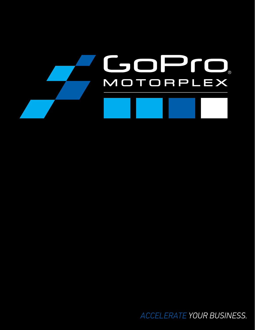

*ACCELERATE YOUR BUSINESS.*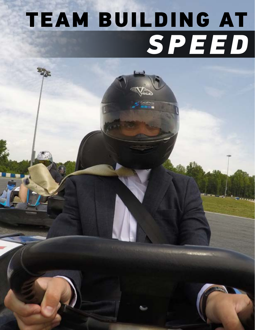# TEAM BUILDING AT *SPEED*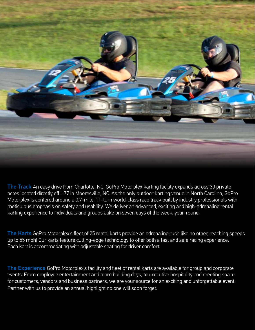

The Track An easy drive from Charlotte, NC, GoPro Motorplex karting facility expands across 30 private acres located directly off I-77 in Mooresville, NC. As the only outdoor karting venue in North Carolina, GoPro Motorplex is centered around a 0.7-mile, 11-turn world-class race track built by industry professionals with meticulous emphasis on safety and usability. We deliver an advanced, exciting and high-adrenaline rental karting experience to individuals and groups alike on seven days of the week, year-round.

The Karts GoPro Motorplex's fleet of 25 rental karts provide an adrenaline rush like no other, reaching speeds up to 55 mph! Our karts feature cutting-edge technology to offer both a fast and safe racing experience. Each kart is accommodating with adjustable seating for driver comfort.

The Experience GoPro Motorplex's facility and fleet of rental karts are available for group and corporate events. From employee entertainment and team building days, to executive hospitality and meeting space for customers, vendors and business partners, we are your source for an exciting and unforgettable event. Partner with us to provide an annual highlight no one will soon forget.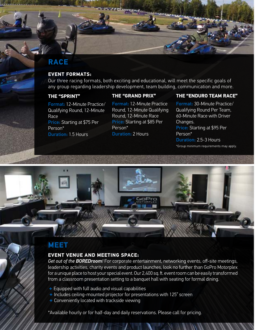# **RACE**

#### **EVENT FORMATS:**

Our three racing formats, both exciting and educational, will meet the specific goals of any group regarding leadership development, team building, communication and more.

#### **THE "SPRINT"**

#### **THE "GRAND PRIX"**

Format: 12-Minute Practice/ Qualifying Round, 12-Minute Race Price: Starting at \$75 Per Person\* Duration: 1.5 Hours

Format: 12-Minute Practice Round, 12-Minute Qualifying Round, 12-Minute Race Price: Starting at \$85 Per Person\* Duration: 2 Hours

#### **THE "ENDURO TEAM RACE"**

Format: 30-Minute Practice/ Qualifying Round Per Team, 60-Minute Race with Driver Changes. Price: Starting at \$95 Per Person\* Duration: 2.5-3 Hours \*Group minimum requirements may apply.

## **MEET**

#### **EVENT VENUE AND MEETING SPACE:**

*Get out of the BOREDroom!* For corporate entertainment, networking events, off-site meetings, leadership activities, charity events and product launches, look no further than GoPro Motorplex for a unique place to host your special event. Our 2,400 sq. ft. event room can be easily transformed from a classroom presentation setting to a banquet hall with seating for formal dining.

- + Equipped with full audio and visual capabilities
- + Includes ceiling-mounted projector for presentations with 125" screen
- + Conveniently located with trackside viewing

\*Available hourly or for half-day and daily reservations. Please call for pricing.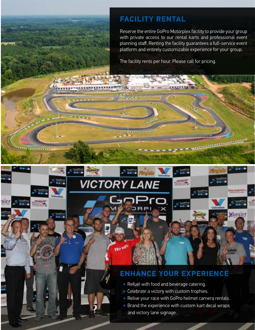# **FACILITY RENTAL**

**All Rights MARK** 

**VICTORY LANE** 

För en.

**TERRITORY ELECTRONIC** 

*Contractor Commercial* 

Reserve the entire GoPro Motorplex facility to provide your group with private access to our rental karts and professional event planning staff. Renting the facility guarantees a full-service event platform and entirely customizable experience for your group.

**All Commission** 

**ALC: Y** 

TIREODEPO

**Hoosier** 

The facility rents per hour. Please call for pricing.

# **ENHANCE YOUR EXPERIENCE**

- + Refuel with food and beverage catering.
- + Celebrate a victory with custom trophies.
- + Relive your race with GoPro helmet camera rentals.
- $+$  Brand the experience with custom kart decal wraps and victory lane signage.